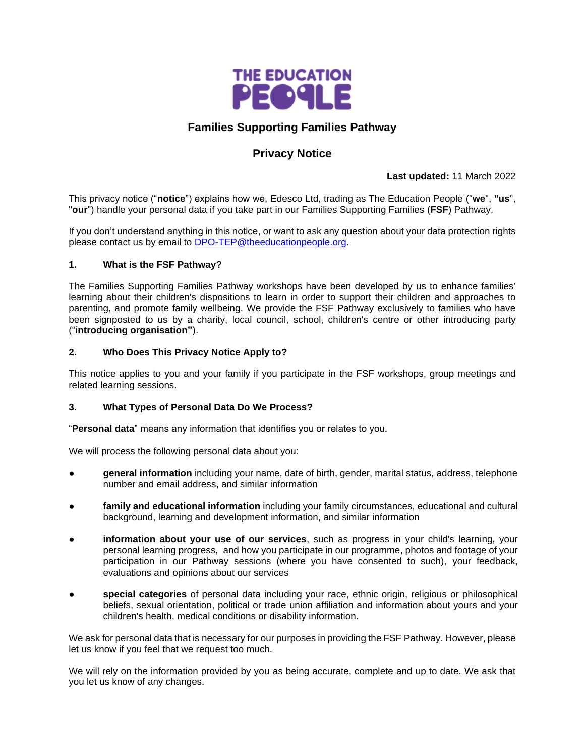

## **Families Supporting Families Pathway**

# **Privacy Notice**

**Last updated:** 11 March 2022

This privacy notice ("**notice**") explains how we, Edesco Ltd, trading as The Education People ("**we**", **"us**", "**our**") handle your personal data if you take part in our Families Supporting Families (**FSF**) Pathway.

If you don't understand anything in this notice, or want to ask any question about your data protection rights please contact us by email to [DPO-TEP@theeducationpeople.org.](mailto:DPO-TEP@theeducationpeople.org)

### **1. What is the FSF Pathway?**

The Families Supporting Families Pathway workshops have been developed by us to enhance families' learning about their children's dispositions to learn in order to support their children and approaches to parenting, and promote family wellbeing. We provide the FSF Pathway exclusively to families who have been signposted to us by a charity, local council, school, children's centre or other introducing party ("**introducing organisation"**).

### **2. Who Does This Privacy Notice Apply to?**

This notice applies to you and your family if you participate in the FSF workshops, group meetings and related learning sessions.

## **3. What Types of Personal Data Do We Process?**

"**Personal data**" means any information that identifies you or relates to you.

We will process the following personal data about you:

- general information including your name, date of birth, gender, marital status, address, telephone number and email address, and similar information
- family and educational information including your family circumstances, educational and cultural background, learning and development information, and similar information
- information about your use of our services, such as progress in your child's learning, your personal learning progress, and how you participate in our programme, photos and footage of your participation in our Pathway sessions (where you have consented to such), your feedback, evaluations and opinions about our services
- special categories of personal data including your race, ethnic origin, religious or philosophical beliefs, sexual orientation, political or trade union affiliation and information about yours and your children's health, medical conditions or disability information.

We ask for personal data that is necessary for our purposes in providing the FSF Pathway. However, please let us know if you feel that we request too much.

We will rely on the information provided by you as being accurate, complete and up to date. We ask that you let us know of any changes.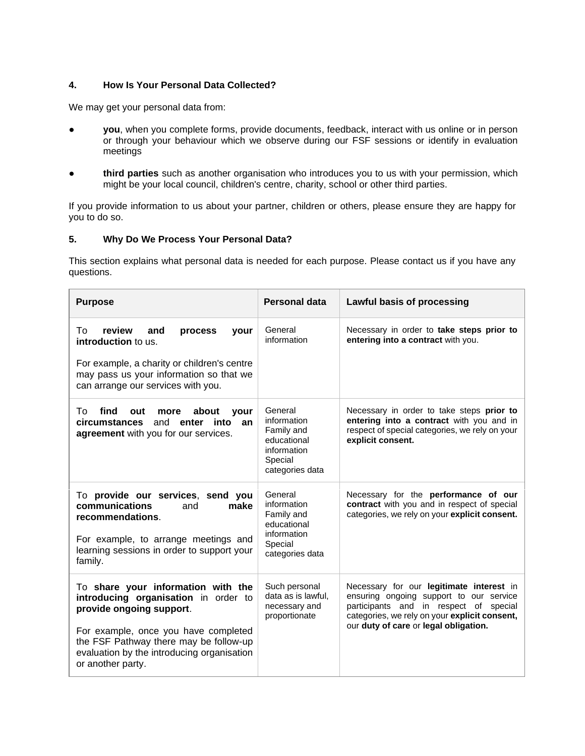## **4. How Is Your Personal Data Collected?**

We may get your personal data from:

- you, when you complete forms, provide documents, feedback, interact with us online or in person or through your behaviour which we observe during our FSF sessions or identify in evaluation meetings
- third parties such as another organisation who introduces you to us with your permission, which might be your local council, children's centre, charity, school or other third parties.

If you provide information to us about your partner, children or others, please ensure they are happy for you to do so.

#### **5. Why Do We Process Your Personal Data?**

This section explains what personal data is needed for each purpose. Please contact us if you have any questions.

| <b>Purpose</b>                                                                                                                                                                                                                                              | <b>Personal data</b>                                                                             | Lawful basis of processing                                                                                                                                                                                              |
|-------------------------------------------------------------------------------------------------------------------------------------------------------------------------------------------------------------------------------------------------------------|--------------------------------------------------------------------------------------------------|-------------------------------------------------------------------------------------------------------------------------------------------------------------------------------------------------------------------------|
| review<br>To<br>and<br>process<br>your<br>introduction to us.<br>For example, a charity or children's centre<br>may pass us your information so that we<br>can arrange our services with you.                                                               | General<br>information                                                                           | Necessary in order to take steps prior to<br>entering into a contract with you.                                                                                                                                         |
| find<br>Τo<br>about<br>out<br>more<br>vour<br><b>circumstances</b><br>and <b>enter</b><br>into<br>an<br>agreement with you for our services.                                                                                                                | General<br>information<br>Family and<br>educational<br>information<br>Special<br>categories data | Necessary in order to take steps prior to<br>entering into a contract with you and in<br>respect of special categories, we rely on your<br>explicit consent.                                                            |
| To provide our services, send you<br>communications<br>and<br>make<br>recommendations.<br>For example, to arrange meetings and<br>learning sessions in order to support your<br>family.                                                                     | General<br>information<br>Family and<br>educational<br>information<br>Special<br>categories data | Necessary for the performance of our<br>contract with you and in respect of special<br>categories, we rely on your explicit consent.                                                                                    |
| To share your information with the<br>introducing organisation in order to<br>provide ongoing support.<br>For example, once you have completed<br>the FSF Pathway there may be follow-up<br>evaluation by the introducing organisation<br>or another party. | Such personal<br>data as is lawful,<br>necessary and<br>proportionate                            | Necessary for our legitimate interest in<br>ensuring ongoing support to our service<br>participants and in respect of special<br>categories, we rely on your explicit consent,<br>our duty of care or legal obligation. |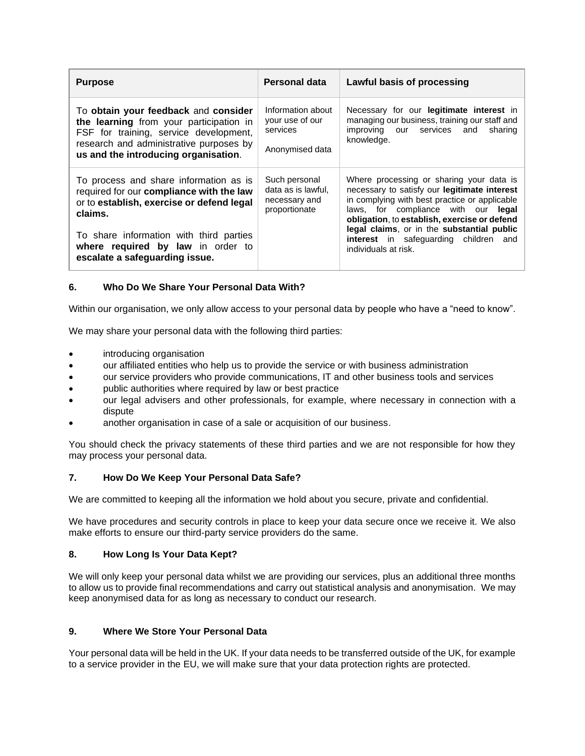| <b>Purpose</b>                                                                                                                                                                                                                                               | Personal data                                                         | Lawful basis of processing                                                                                                                                                                                                                                                                                                                             |
|--------------------------------------------------------------------------------------------------------------------------------------------------------------------------------------------------------------------------------------------------------------|-----------------------------------------------------------------------|--------------------------------------------------------------------------------------------------------------------------------------------------------------------------------------------------------------------------------------------------------------------------------------------------------------------------------------------------------|
| To obtain your feedback and consider<br>the learning from your participation in<br>FSF for training, service development,<br>research and administrative purposes by<br>us and the introducing organisation.                                                 | Information about<br>your use of our<br>services<br>Anonymised data   | Necessary for our legitimate interest in<br>managing our business, training our staff and<br>improving our services and<br>sharing<br>knowledge.                                                                                                                                                                                                       |
| To process and share information as is<br>required for our compliance with the law<br>or to establish, exercise or defend legal<br>claims.<br>To share information with third parties<br>where required by law in order to<br>escalate a safeguarding issue. | Such personal<br>data as is lawful,<br>necessary and<br>proportionate | Where processing or sharing your data is<br>necessary to satisfy our legitimate interest<br>in complying with best practice or applicable<br>laws, for compliance with our legal<br>obligation, to establish, exercise or defend<br>legal claims, or in the substantial public<br><b>interest</b> in safequarding children and<br>individuals at risk. |

## **6. Who Do We Share Your Personal Data With?**

Within our organisation, we only allow access to your personal data by people who have a "need to know".

We may share your personal data with the following third parties:

- introducing organisation
- our affiliated entities who help us to provide the service or with business administration
- our service providers who provide communications, IT and other business tools and services
- public authorities where required by law or best practice
- our legal advisers and other professionals, for example, where necessary in connection with a dispute
- another organisation in case of a sale or acquisition of our business.

You should check the privacy statements of these third parties and we are not responsible for how they may process your personal data.

### **7. How Do We Keep Your Personal Data Safe?**

We are committed to keeping all the information we hold about you secure, private and confidential.

We have procedures and security controls in place to keep your data secure once we receive it. We also make efforts to ensure our third-party service providers do the same.

#### **8. How Long Is Your Data Kept?**

We will only keep your personal data whilst we are providing our services, plus an additional three months to allow us to provide final recommendations and carry out statistical analysis and anonymisation. We may keep anonymised data for as long as necessary to conduct our research.

### **9. Where We Store Your Personal Data**

Your personal data will be held in the UK. If your data needs to be transferred outside of the UK, for example to a service provider in the EU, we will make sure that your data protection rights are protected.